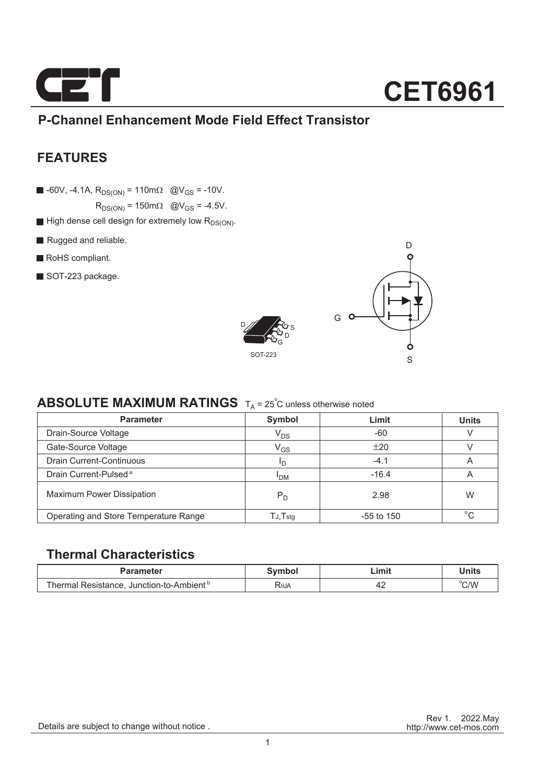

### **P-Channel Enhancement Mode Field Effect Transistor**

### **FEATURES**

 $\blacksquare$  -60V, -4.1A,  $R_{DS(ON)} = 110 \text{ m}\Omega$  @V<sub>GS</sub> = -10V.

 $R_{DS(ON)} = 150 \text{m}\Omega$  @V<sub>GS</sub> = -4.5V.

- $\blacksquare$  High dense cell design for extremely low  $R_{DS(ON)}$ .
- Rugged and reliable.
- RoHS compliant.
- SOT-223 package.





### **ABSOLUTE MAXIMUM RATINGS**  $T_A = 25^\circ$ C unless otherwise noted

| <b>Parameter</b>                      | Symbol                     | Limit        | <b>Units</b> |
|---------------------------------------|----------------------------|--------------|--------------|
| Drain-Source Voltage                  | $V_{DS}$                   | $-60$        |              |
| Gate-Source Voltage                   | $\mathsf{V}_{\mathsf{GS}}$ | ±20          |              |
| <b>Drain Current-Continuous</b>       | חי                         | $-4.1$       | A            |
| Drain Current-Pulsed <sup>a</sup>     | <sup>I</sup> DM            | $-16.4$      | A            |
| <b>Maximum Power Dissipation</b>      | $P_D$                      | 2.98         | W            |
| Operating and Store Temperature Range | $T$ J, $T$ stq             | $-55$ to 150 | $\circ$      |

### **Thermal Characteristics**

| Parameter                                            | Svmbol      | Limit | Units |
|------------------------------------------------------|-------------|-------|-------|
| Thermal Resistance. Junction-to-Ambient <sup>b</sup> | <b>ROJA</b> |       | °C/W  |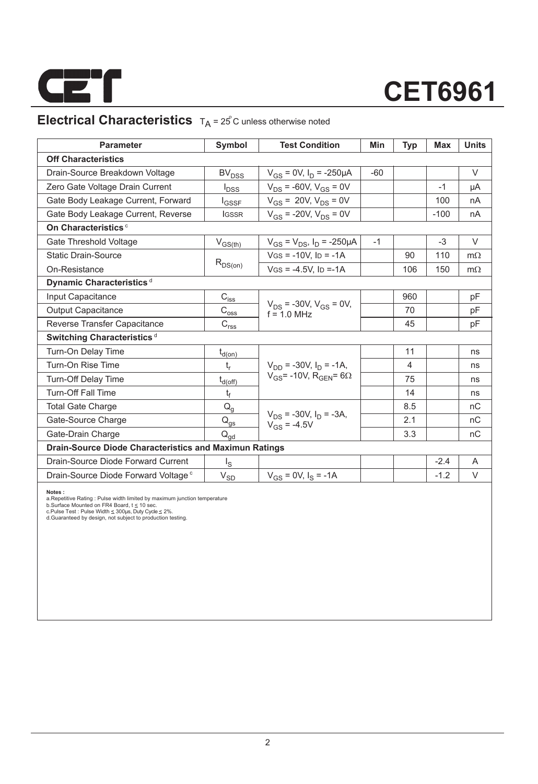

### **Electrical Characteristics**  $T_A = 25^\circ$ C unless otherwise noted

| <b>Parameter</b>                                       | Symbol                                                                | <b>Test Condition</b>                             | Min   | Typ | <b>Max</b> | <b>Units</b> |  |  |  |
|--------------------------------------------------------|-----------------------------------------------------------------------|---------------------------------------------------|-------|-----|------------|--------------|--|--|--|
| <b>Off Characteristics</b>                             |                                                                       |                                                   |       |     |            |              |  |  |  |
| Drain-Source Breakdown Voltage                         | <b>BV<sub>DSS</sub></b>                                               | $V_{GS} = 0V$ , $I_D = -250 \mu A$                | $-60$ |     |            | $\vee$       |  |  |  |
| Zero Gate Voltage Drain Current                        | $I_{\text{DSS}}$                                                      | $V_{DS}$ = -60V, $V_{GS}$ = 0V                    |       |     | $-1$       | μA           |  |  |  |
| Gate Body Leakage Current, Forward                     | $I_{GSSF}$                                                            | $V_{GS} = 20V, V_{DS} = 0V$                       |       |     | 100        | nA           |  |  |  |
| Gate Body Leakage Current, Reverse                     | <b>IGSSR</b>                                                          | $V_{GS}$ = -20V, $V_{DS}$ = 0V                    |       |     | $-100$     | nA           |  |  |  |
| On Characteristics <sup>c</sup>                        |                                                                       |                                                   |       |     |            |              |  |  |  |
| Gate Threshold Voltage                                 | $V_{GS(th)}$                                                          | $V_{GS} = V_{DS}$ , $I_D = -250 \mu A$            | $-1$  |     | $-3$       | $\vee$       |  |  |  |
| <b>Static Drain-Source</b>                             |                                                                       | $V$ GS = -10V. ID = -1A                           |       | 90  | 110        | $m\Omega$    |  |  |  |
| On-Resistance                                          | $R_{DS(on)}$                                                          | $V$ GS = -4.5V. ID =-1A                           |       | 106 | 150        | $m\Omega$    |  |  |  |
| Dynamic Characteristics <sup>d</sup>                   |                                                                       |                                                   |       |     |            |              |  |  |  |
| Input Capacitance                                      | $C_{i\underline{s}\underline{s}}$                                     |                                                   |       | 960 |            | pF           |  |  |  |
| Output Capacitance                                     | $\text{C}_{\text{oss}}$                                               | $V_{DS}$ = -30V, $V_{GS}$ = 0V,<br>$f = 10$ MHz   |       | 70  |            | pF           |  |  |  |
| Reverse Transfer Capacitance                           | $\mathsf{C}_{\mathsf{r}\underline{\mathsf{s}}\underline{\mathsf{s}}}$ |                                                   |       | 45  |            | pF           |  |  |  |
| Switching Characteristics <sup>d</sup>                 |                                                                       |                                                   |       |     |            |              |  |  |  |
| Turn-On Delay Time                                     | $t_{d(on)}$                                                           |                                                   |       | 11  |            | ns           |  |  |  |
| Turn-On Rise Time                                      | $t_{r}$                                                               | $V_{DD}$ = -30V, $I_D$ = -1A,                     |       | 4   |            | ns           |  |  |  |
| Turn-Off Delay Time                                    | $t_{d(off)}$                                                          | $V_{GS}$ = -10V, R <sub>GEN</sub> = 6 $\Omega$    |       | 75  |            | ns           |  |  |  |
| <b>Turn-Off Fall Time</b>                              | t <sub>f</sub>                                                        |                                                   |       | 14  |            | ns           |  |  |  |
| <b>Total Gate Charge</b>                               | $Q_q$                                                                 |                                                   |       | 8.5 |            | nC           |  |  |  |
| Gate-Source Charge                                     | $\mathsf{Q}_{\underline{\mathsf{q}\mathsf{s}}}$                       | $V_{DS}$ = -30V, $I_D$ = -3A,<br>$V_{GS} = -4.5V$ |       | 2.1 |            | nC           |  |  |  |
| Gate-Drain Charge                                      | $Q_{\text{ad}}$                                                       |                                                   |       | 3.3 |            | nC           |  |  |  |
| Drain-Source Diode Characteristics and Maximun Ratings |                                                                       |                                                   |       |     |            |              |  |  |  |
| Drain-Source Diode Forward Current                     | اج                                                                    |                                                   |       |     | $-2.4$     | A            |  |  |  |
| Drain-Source Diode Forward Voltage <sup>c</sup>        | $\mathsf{V}_{\mathsf{S}\underline{\mathsf{D}}}$                       | $V_{GS} = 0V$ , $I_S = -1A$                       |       |     | $-1.2$     | V            |  |  |  |
|                                                        |                                                                       |                                                   |       |     |            |              |  |  |  |

**Notes :**<br>a.Repetitive Rating : Pulse width limited by maximum junction temperature<br>b.Surface Mounted on FR4 Board, t ≤ 10 sec.<br>c.Pulse Test : Pulse Width ≤ 300µs, Duly Cyde ≤ 2%.<br>d.Guaranteed by design, not subject to pr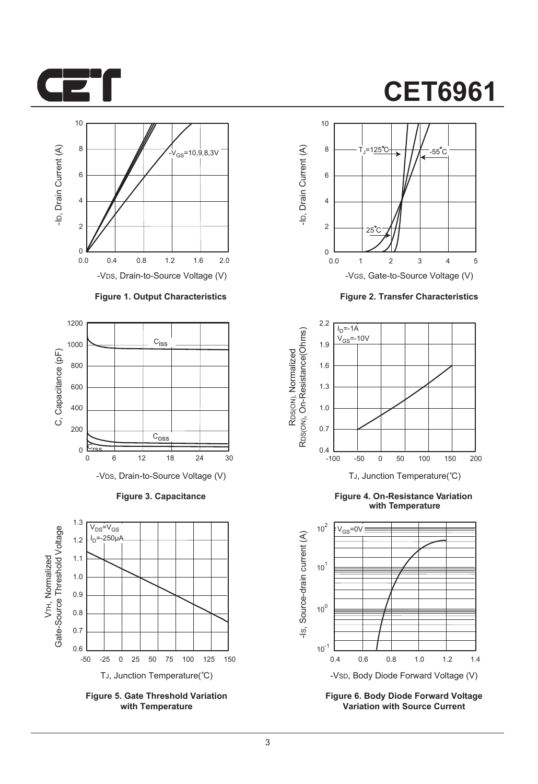



#### **Figure 1. Output Characteristics**



**Figure 3. Capacitance**



**Figure 5. Gate Threshold Variation with Temperature**

# **CET6961**



**Figure 2. Transfer Characteristics**



**Figure 4. On-Resistance Variation with Temperature**



**Figure 6. Body Diode Forward Voltage Variation with Source Current**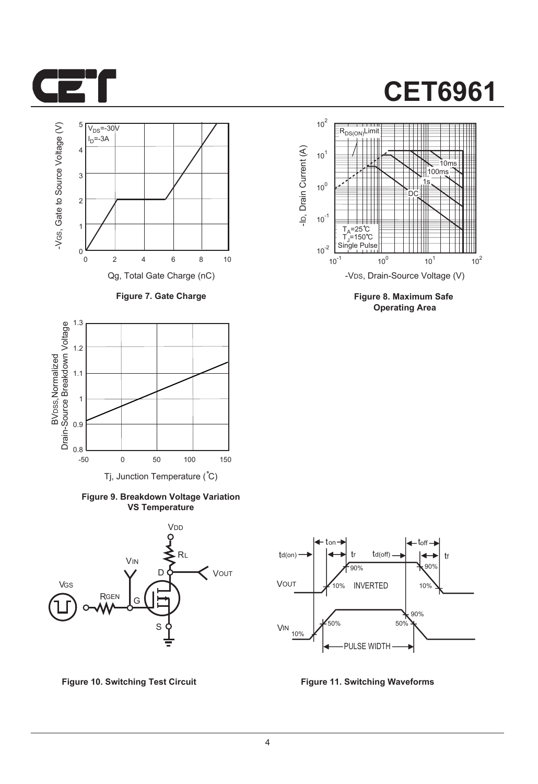



**Figure 7. Gate Charge**



**Figure 9. Breakdown Voltage Variation VS Temperature**



**Figure 10. Switching Test Circuit Figure 11. Switching Waveforms**



**Figure 8. Maximum Safe Operating Area**